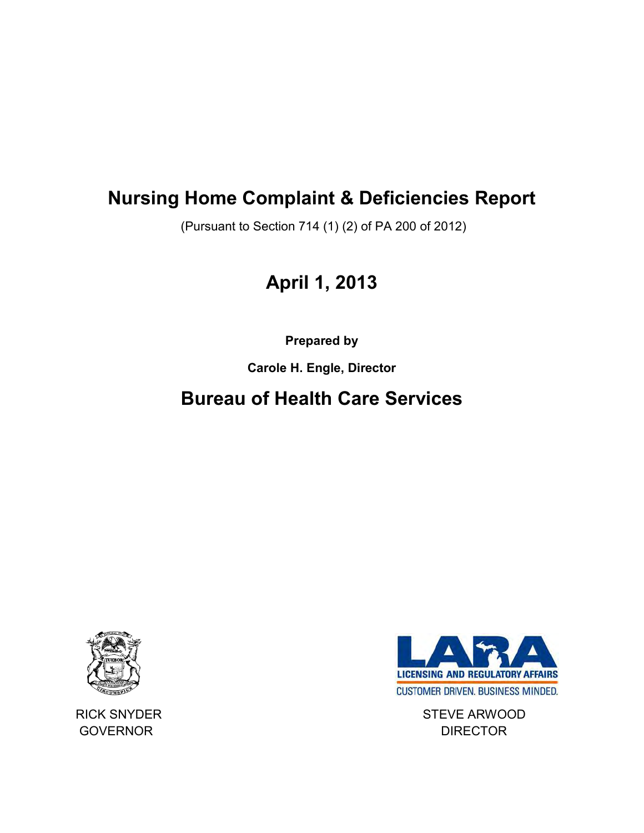# **Nursing Home Complaint & Deficiencies Report**

(Pursuant to Section 714 (1) (2) of PA 200 of 2012)

# **April 1, 2013**

**Prepared by** 

**Carole H. Engle, Director** 

## **Bureau of Health Care Services**





RICK SNYDER STEVE ARWOOD GOVERNOR **DIRECTOR**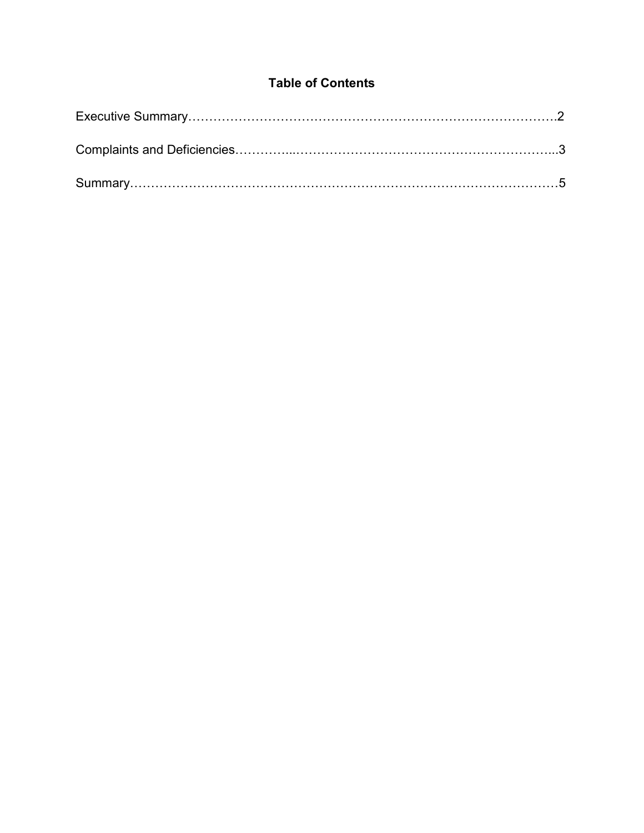## **Table of Contents**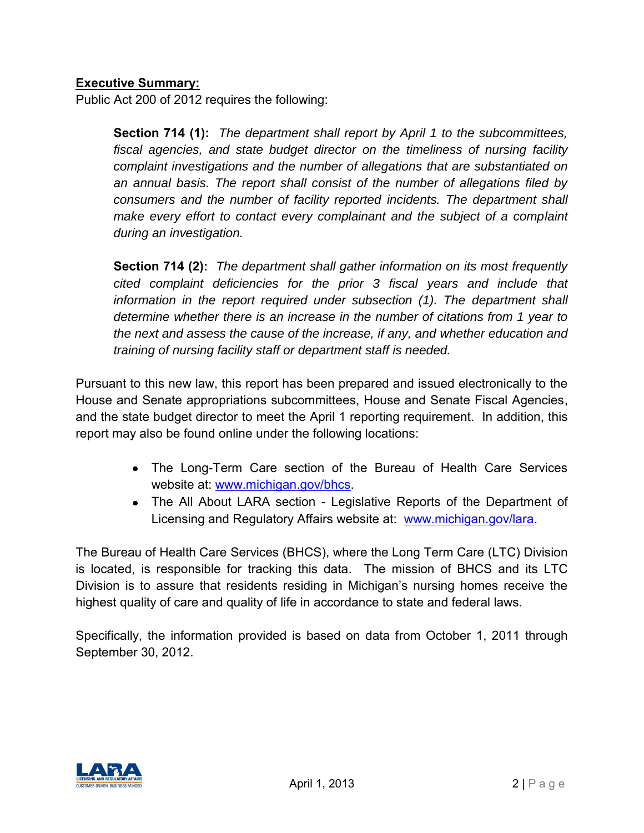#### **Executive Summary:**

Public Act 200 of 2012 requires the following:

**Section 714 (1):** *The department shall report by April 1 to the subcommittees, fiscal agencies, and state budget director on the timeliness of nursing facility complaint investigations and the number of allegations that are substantiated on an annual basis. The report shall consist of the number of allegations filed by consumers and the number of facility reported incidents. The department shall make every effort to contact every complainant and the subject of a complaint during an investigation.* 

**Section 714 (2):** *The department shall gather information on its most frequently cited complaint deficiencies for the prior 3 fiscal years and include that*  information in the report required under subsection (1). The department shall *determine whether there is an increase in the number of citations from 1 year to the next and assess the cause of the increase, if any, and whether education and training of nursing facility staff or department staff is needed.* 

Pursuant to this new law, this report has been prepared and issued electronically to the House and Senate appropriations subcommittees, House and Senate Fiscal Agencies, and the state budget director to meet the April 1 reporting requirement. In addition, this report may also be found online under the following locations:

- The Long-Term Care section of the Bureau of Health Care Services website at: [www.michigan.gov/bhcs.](http://www.michigan.gov/bhcs)
- The All About LARA section Legislative Reports of the Department of Licensing and Regulatory Affairs website at: [www.michigan.gov/lara.](http://www.michigan.gov/lara)

The Bureau of Health Care Services (BHCS), where the Long Term Care (LTC) Division is located, is responsible for tracking this data. The mission of BHCS and its LTC Division is to assure that residents residing in Michigan's nursing homes receive the highest quality of care and quality of life in accordance to state and federal laws.

Specifically, the information provided is based on data from October 1, 2011 through September 30, 2012.

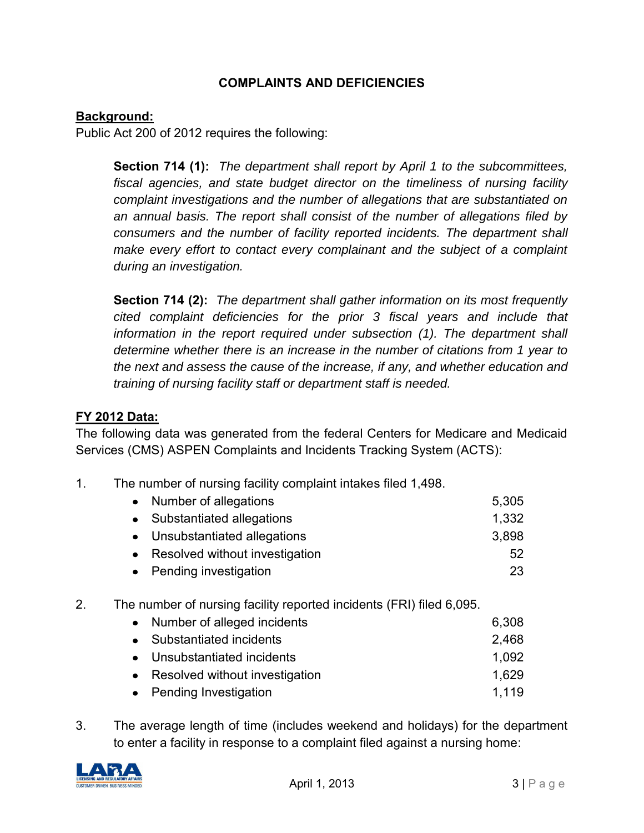#### **COMPLAINTS AND DEFICIENCIES**

#### **Background:**

Public Act 200 of 2012 requires the following:

**Section 714 (1):** *The department shall report by April 1 to the subcommittees, fiscal agencies, and state budget director on the timeliness of nursing facility complaint investigations and the number of allegations that are substantiated on an annual basis. The report shall consist of the number of allegations filed by consumers and the number of facility reported incidents. The department shall make every effort to contact every complainant and the subject of a complaint during an investigation.* 

**Section 714 (2):** *The department shall gather information on its most frequently cited complaint deficiencies for the prior 3 fiscal years and include that*  information in the report required under subsection (1). The department shall *determine whether there is an increase in the number of citations from 1 year to the next and assess the cause of the increase, if any, and whether education and training of nursing facility staff or department staff is needed.* 

#### **FY 2012 Data:**

The following data was generated from the federal Centers for Medicare and Medicaid Services (CMS) ASPEN Complaints and Incidents Tracking System (ACTS):

1. The number of nursing facility complaint intakes filed 1,498.

| $\bullet$ | Number of allegations          | 5,305 |
|-----------|--------------------------------|-------|
| $\bullet$ | Substantiated allegations      | 1,332 |
|           | Unsubstantiated allegations    | 3,898 |
| $\bullet$ | Resolved without investigation | 52    |
| $\bullet$ | Pending investigation          | 23    |

2. The number of nursing facility reported incidents (FRI) filed 6,095.

| • Number of alleged incidents    | 6,308 |
|----------------------------------|-------|
| • Substantiated incidents        | 2,468 |
| • Unsubstantiated incidents      | 1,092 |
| • Resolved without investigation | 1,629 |
| • Pending Investigation          | 1.119 |

3. The average length of time (includes weekend and holidays) for the department to enter a facility in response to a complaint filed against a nursing home:

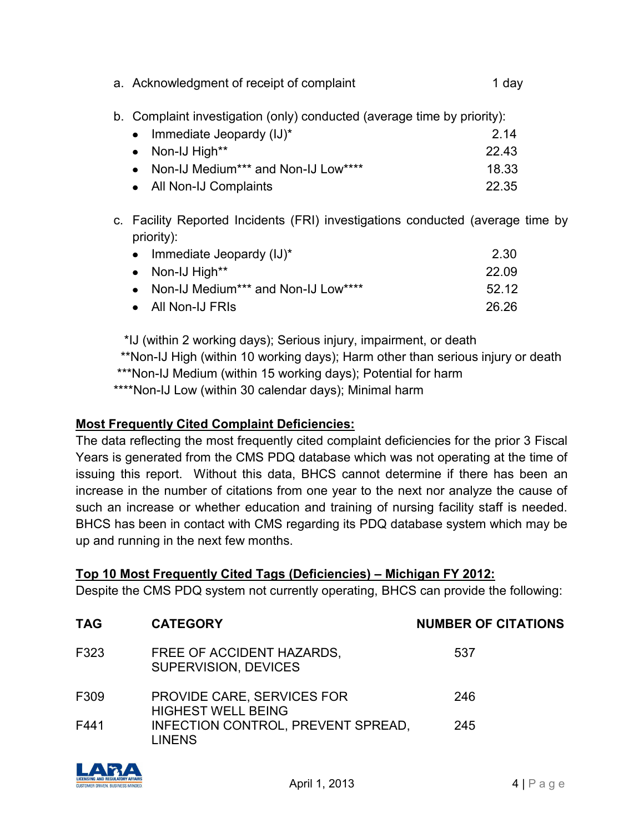| a. Acknowledgment of receipt of complaint                               | 1 day |
|-------------------------------------------------------------------------|-------|
| b. Complaint investigation (only) conducted (average time by priority): |       |
|                                                                         |       |

| • Immediate Jeopardy $(IJ)^*$         | 2.14  |
|---------------------------------------|-------|
| • Non-IJ High**                       | 22.43 |
| • Non-IJ Medium*** and Non-IJ Low**** | 18.33 |
| • All Non-IJ Complaints               | 22.35 |

c. Facility Reported Incidents (FRI) investigations conducted (average time by priority):

| • Immediate Jeopardy $(IJ)^*$         | 2.30  |
|---------------------------------------|-------|
| $\bullet$ Non-IJ High**               | 22.09 |
| • Non-IJ Medium*** and Non-IJ Low**** | 52 12 |
| • All Non-IJ FRIS                     | 26.26 |

 \*IJ (within 2 working days); Serious injury, impairment, or death \*\*Non-IJ High (within 10 working days); Harm other than serious injury or death \*\*\*Non-IJ Medium (within 15 working days); Potential for harm \*\*\*\*Non-IJ Low (within 30 calendar days); Minimal harm

## **Most Frequently Cited Complaint Deficiencies:**

The data reflecting the most frequently cited complaint deficiencies for the prior 3 Fiscal Years is generated from the CMS PDQ database which was not operating at the time of issuing this report. Without this data, BHCS cannot determine if there has been an increase in the number of citations from one year to the next nor analyze the cause of such an increase or whether education and training of nursing facility staff is needed. BHCS has been in contact with CMS regarding its PDQ database system which may be up and running in the next few months.

#### **Top 10 Most Frequently Cited Tags (Deficiencies) – Michigan FY 2012:**

Despite the CMS PDQ system not currently operating, BHCS can provide the following:

| <b>TAG</b> | <b>CATEGORY</b>                                          | <b>NUMBER OF CITATIONS</b> |
|------------|----------------------------------------------------------|----------------------------|
| F323       | FREE OF ACCIDENT HAZARDS.<br><b>SUPERVISION, DEVICES</b> | 537                        |
| F309       | PROVIDE CARE, SERVICES FOR<br><b>HIGHEST WELL BEING</b>  | 246                        |
| F441       | INFECTION CONTROL, PREVENT SPREAD,<br><b>LINENS</b>      | 245                        |